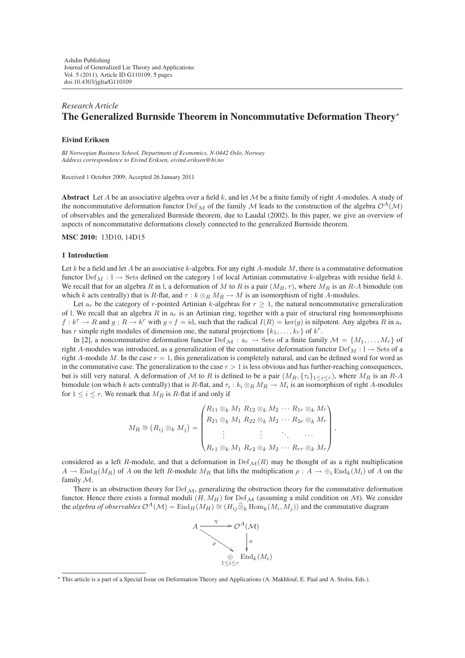# *Research Article* **The Generalized Burnside Theorem in Noncommutative Deformation Theory**-

### **Eivind Eriksen**

*BI Norwegian Business School, Department of Economics, N-0442 Oslo, Norway Address correspondence to Eivind Eriksen, eivind.eriksen@bi.no*

Received 1 October 2009; Accepted 26 January 2011

**Abstract** Let A be an associative algebra over a field k, and let  $M$  be a finite family of right A-modules. A study of the noncommutative deformation functor  $\text{Def}_{\mathcal{M}}$  of the family M leads to the construction of the algebra  $\mathcal{O}^A(\mathcal{M})$ of observables and the generalized Burnside theorem, due to Laudal (2002). In this paper, we give an overview of aspects of noncommutative deformations closely connected to the generalized Burnside theorem.

**MSC 2010:** 13D10, 14D15

#### **1 Introduction**

Let  $k$  be a field and let  $A$  be an associative  $k$ -algebra. For any right  $A$ -module  $M$ , there is a commutative deformation functor  $Def_M : l \to \text{Sets}$  defined on the category l of local Artinian commutative k-algebras with residue field k. We recall that for an algebra R in l, a deformation of M to R is a pair  $(M_R, \tau)$ , where  $M_R$  is an R-A bimodule (on which k acts centrally) that is R-flat, and  $\tau : k \otimes_R M_R \to M$  is an isomorphism of right A-modules.

Let  $a_r$  be the category of r-pointed Artinian k-algebras for  $r > 1$ , the natural noncommutative generalization of l. We recall that an algebra R in  $a_r$  is an Artinian ring, together with a pair of structural ring homomorphisms  $f : k^r \to R$  and  $g : R \to k^r$  with  $g \circ f = id$ , such that the radical  $I(R) = \text{ker}(g)$  is nilpotent. Any algebra R in  $a_r$ has r simple right modules of dimension one, the natural projections  $\{k_1,\ldots,k_r\}$  of  $k^r$ .

In [\[2\]](#page-4-1), a noncommutative deformation functor  $\text{Def}_{\mathcal{M}} : a_r \to \text{Sets}$  of a finite family  $\mathcal{M} = \{M_1, \ldots, M_r\}$  of right A-modules was introduced, as a generalization of the commutative deformation functor Def<sub>M</sub> : l  $\rightarrow$  Sets of a right A-module M. In the case  $r = 1$ , this generalization is completely natural, and can be defined word for word as in the commutative case. The generalization to the case  $r > 1$  is less obvious and has further-reaching consequences, but is still very natural. A deformation of M to R is defined to be a pair  $(M_R, \{\tau_i\}_{1\leq i\leq r})$ , where  $M_R$  is an R-A bimodule (on which k acts centrally) that is R-flat, and  $\tau_i : k_i \otimes_R M_R \to M_i$  is an isomorphism of right A-modules for  $1 \le i \le r$ . We remark that  $M_R$  is R-flat if and only if

$$
M_R \cong (R_{ij} \otimes_k M_j) = \begin{pmatrix} R_{11} \otimes_k M_1 & R_{12} \otimes_k M_2 & \cdots & R_{1r} \otimes_k M_r \\ R_{21} \otimes_k M_1 & R_{22} \otimes_k M_2 & \cdots & R_{2r} \otimes_k M_r \\ \vdots & \vdots & \ddots & \vdots \\ R_{r1} \otimes_k M_1 & R_{r2} \otimes_k M_2 & \cdots & R_{rr} \otimes_k M_r \end{pmatrix},
$$

considered as a left R-module, and that a deformation in  $Def_{\mathcal{M}}(R)$  may be thought of as a right multiplication  $A \to \text{End}_R(M_R)$  of A on the left R-module  $M_R$  that lifts the multiplication  $\rho : A \to \bigoplus_i \text{End}_k(M_i)$  of A on the family M.

There is an obstruction theory for  $\text{Def}_{\mathcal{M}}$ , generalizing the obstruction theory for the commutative deformation functor. Hence there exists a formal moduli  $(H, M_H)$  for Def<sub>M</sub> (assuming a mild condition on M). We consider the *algebra of observables*  $O^A(\mathcal{M}) = \text{End}_H(M_H) \cong (H_{ij} \widehat{\otimes}_k \text{Hom}_k(M_i, M_j))$  and the commutative diagram



<sup>-</sup> This article is a part of a Special Issue on Deformation Theory and Applications (A. Makhlouf, E. Paal and A. Stolin, Eds.).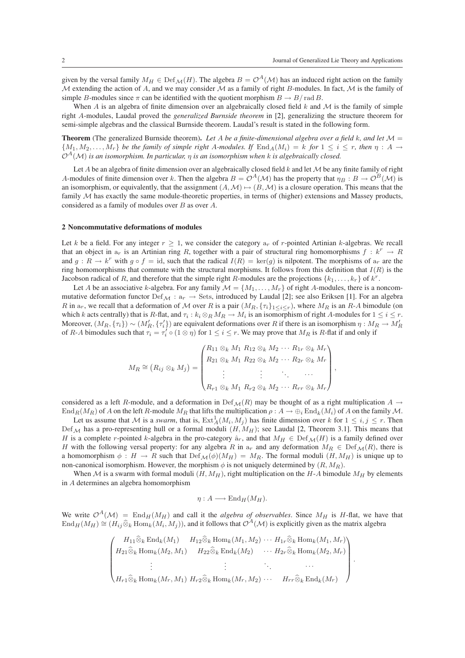given by the versal family  $M_H \in \text{Def}_{\mathcal{M}}(H)$ . The algebra  $B = \mathcal{O}^A(\mathcal{M})$  has an induced right action on the family  $M$  extending the action of A, and we may consider  $M$  as a family of right B-modules. In fact,  $M$  is the family of simple B-modules since  $\pi$  can be identified with the quotient morphism  $B \to B/\text{rad } B$ .

When A is an algebra of finite dimension over an algebraically closed field  $k$  and  $M$  is the family of simple right A-modules, Laudal proved the *generalized Burnside theorem* in [\[2\]](#page-4-1), generalizing the structure theorem for semi-simple algebras and the classical Burnside theorem. Laudal's result is stated in the following form.

**Theorem** (The generalized Burnside theorem). Let A be a finite-dimensional algebra over a field  $k$ , and let  $M =$  ${M_1, M_2,..., M_r}$  *be the family of simple right A-modules. If*  $\text{End}_A(M_i) = k$  *for*  $1 \le i \le r$ *, then*  $\eta : A \to$  $\mathcal{O}^{A}(\mathcal{M})$  *is an isomorphism. In particular,*  $\eta$  *is an isomorphism when* k *is algebraically closed.* 

Let A be an algebra of finite dimension over an algebraically closed field  $k$  and let  $M$  be any finite family of right A-modules of finite dimension over k. Then the algebra  $B = \mathcal{O}^{A}(\mathcal{M})$  has the property that  $\eta_B : B \to \mathcal{O}^{B}(\mathcal{M})$  is an isomorphism, or equivalently, that the assignment  $(A, \mathcal{M}) \mapsto (B, \mathcal{M})$  is a closure operation. This means that the family  $M$  has exactly the same module theoretic properties in terms of (higher) extensions and Masse family  $M$  has exactly the same module-theoretic properties, in terms of (higher) extensions and Massey products, considered as a family of modules over B as over A.

#### **2 Noncommutative deformations of modules**

Let k be a field. For any integer  $r \geq 1$ , we consider the category  $a_r$  of r-pointed Artinian k-algebras. We recall that an object in  $a_r$  is an Artinian ring R, together with a pair of structural ring homomorphisms  $f : k^r \to R$ and  $q: R \to k^r$  with  $q \circ f = id$ , such that the radical  $I(R) = \text{ker}(q)$  is nilpotent. The morphisms of  $a_r$  are the ring homomorphisms that commute with the structural morphisms. It follows from this definition that  $I(R)$  is the Jacobson radical of R, and therefore that the simple right R-modules are the projections  $\{k_1,\ldots,k_r\}$  of  $k^r$ .

Let A be an associative k-algebra. For any family  $\mathcal{M} = \{M_1, \ldots, M_r\}$  of right A-modules, there is a noncommutative deformation functor  $\text{Def}_{\mathcal{M}} : a_r \to \text{Sets}$ , introduced by Laudal [\[2\]](#page-4-1); see also Eriksen [\[1\]](#page-4-2). For an algebra R in  $a_r$ , we recall that a deformation of M over R is a pair  $(M_R, \{ \tau_i \}_{1 \leq i \leq r})$ , where  $M_R$  is an R-A bimodule (on which k acts centrally) that is R-flat, and  $\tau_i : k_i \otimes_R M_R \to M_i$  is an isomorphism of right A-modules for  $1 \leq i \leq r$ . Moreover,  $(M_R, \{\tau_i\}) \sim (M'_R, \{\tau_i'\})$  are equivalent deformations over R if there is an isomorphism  $\eta : M_R \to M'_R$ <br>of R A bimodules such that  $\tau_i = \tau'_i \circ (1 \otimes \eta_i)$  for  $1 \le i \le r$ . We may prove that  $M_{\tau_i}$  is R flat if and onl of R-A bimodules such that  $\tau_i = \tau'_i \circ (1 \otimes \eta)$  for  $1 \le i \le r$ . We may prove that  $M_R$  is R-flat if and only if

$$
M_R \cong (R_{ij} \otimes_k M_j) = \begin{pmatrix} R_{11} \otimes_k M_1 & R_{12} \otimes_k M_2 & \cdots & R_{1r} \otimes_k M_r \\ R_{21} \otimes_k M_1 & R_{22} \otimes_k M_2 & \cdots & R_{2r} \otimes_k M_r \\ \vdots & \vdots & \ddots & \vdots \\ R_{r1} \otimes_k M_1 & R_{r2} \otimes_k M_2 & \cdots & R_{rr} \otimes_k M_r \end{pmatrix},
$$

considered as a left R-module, and a deformation in Def $_{\mathcal{M}}(R)$  may be thought of as a right multiplication  $A \rightarrow$  $\text{End}_R(M_R)$  of A on the left R-module  $M_R$  that lifts the multiplication  $\rho: A \to \bigoplus_i \text{End}_k(M_i)$  of A on the family M.

Let us assume that M is a *swarm*, that is,  $Ext_A^1(M_i, M_j)$  has finite dimension over k for  $1 \le i, j \le r$ . Then  $\ldots$  has a pro-representing bull or a formal moduli  $(H, M_{rr})$ ; see I andal 12. Theorem 3.11. This means that  $Def_{\mathcal{M}}$  has a pro-representing hull or a formal moduli  $(H, M_H)$ ; see Laudal [\[2,](#page-4-1) Theorem 3.1]. This means that H is a complete r-pointed k-algebra in the pro-category  $\hat{a}_r$ , and that  $M_H \in \text{Def}_{\mathcal{M}}(H)$  is a family defined over H with the following versal property: for any algebra R in  $a_r$  and any deformation  $M_R \in \text{Def}_{\mathcal{M}}(R)$ , there is a homomorphism  $\phi : H \to R$  such that  $Def_{\mathcal{M}}(\phi)(M_H) = M_R$ . The formal moduli  $(H, M_H)$  is unique up to non-canonical isomorphism. However, the morphism  $\phi$  is not uniquely determined by  $(R, M_R)$ .

When M is a swarm with formal moduli  $(H, M_H)$ , right multiplication on the H-A bimodule  $M_H$  by elements in A determines an algebra homomorphism

$$
\eta: A \longrightarrow \mathrm{End}_H(M_H).
$$

We write  $\mathcal{O}^{A}(\mathcal{M}) = \text{End}_{H}(M_{H})$  and call it the *algebra of observables*. Since  $M_{H}$  is *H*-flat, we have that  $\text{End}_H(M_H) \cong (H_{ij} \widehat{\otimes}_k \text{Hom}_k(M_i, M_j))$ , and it follows that  $\mathcal{O}^A(\mathcal{M})$  is explicitly given as the matrix algebra

$$
\begin{pmatrix}\nH_{11}\widehat{\otimes}_k \operatorname{End}_k(M_1) & H_{12}\widehat{\otimes}_k \operatorname{Hom}_k(M_1, M_2) \cdots H_{1r}\widehat{\otimes}_k \operatorname{Hom}_k(M_1, M_r) \\
H_{21}\widehat{\otimes}_k \operatorname{Hom}_k(M_2, M_1) & H_{22}\widehat{\otimes}_k \operatorname{End}_k(M_2) & \cdots H_{2r}\widehat{\otimes}_k \operatorname{Hom}_k(M_2, M_r) \\
\vdots & \vdots & \ddots & \vdots \\
H_{r1}\widehat{\otimes}_k \operatorname{Hom}_k(M_r, M_1) & H_{r2}\widehat{\otimes}_k \operatorname{Hom}_k(M_r, M_2) & \cdots & H_{rr}\widehat{\otimes}_k \operatorname{End}_k(M_r)\n\end{pmatrix}
$$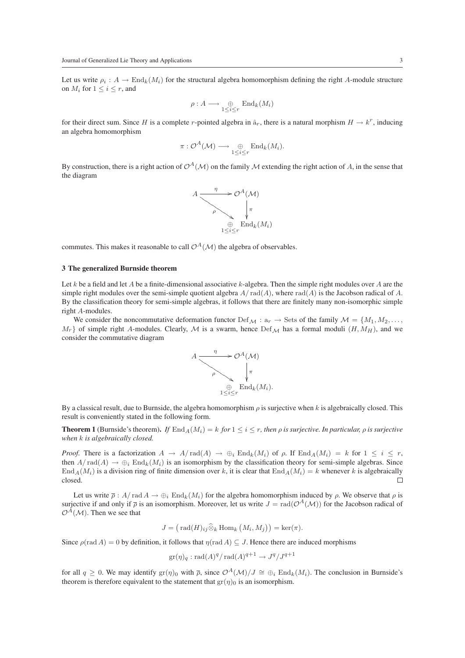Let us write  $\rho_i : A \to \text{End}_k(M_i)$  for the structural algebra homomorphism defining the right A-module structure on  $M_i$  for  $1 \leq i \leq r$ , and

$$
\rho: A \longrightarrow \bigoplus_{1 \leq i \leq r} \text{End}_k(M_i)
$$

for their direct sum. Since H is a complete r-pointed algebra in  $\hat{a}_r$ , there is a natural morphism  $H \to k^r$ , inducing an algebra homomorphism

$$
\pi: \mathcal{O}^A(\mathcal{M}) \longrightarrow \bigoplus_{1 \leq i \leq r} \mathrm{End}_k(M_i).
$$

By construction, there is a right action of  $\mathcal{O}^A(\mathcal{M})$  on the family M extending the right action of A, in the sense that the diagram



commutes. This makes it reasonable to call  $\mathcal{O}^{A}(\mathcal{M})$  the algebra of observables.

## **3 The generalized Burnside theorem**

Let k be a field and let A be a finite-dimensional associative k-algebra. Then the simple right modules over A are the simple right modules over the semi-simple quotient algebra  $A/\text{rad}(A)$ , where  $\text{rad}(A)$  is the Jacobson radical of A. By the classification theory for semi-simple algebras, it follows that there are finitely many non-isomorphic simple right A-modules.

We consider the noncommutative deformation functor  $\text{Def}_{\mathcal{M}} : a_r \to \text{Sets}$  of the family  $\mathcal{M} = \{M_1, M_2, \ldots, M_m\}$  $M_r$  of simple right A-modules. Clearly, M is a swarm, hence  $Def_\mathcal{M}$  has a formal moduli  $(H, M_H)$ , and we consider the commutative diagram



By a classical result, due to Burnside, the algebra homomorphism  $\rho$  is surjective when k is algebraically closed. This result is conveniently stated in the following form.

**Theorem 1** (Burnside's theorem). If  $\text{End}_A(M_i) = k$  for  $1 \leq i \leq r$ , then  $\rho$  is surjective. In particular,  $\rho$  is surjective *when* k *is algebraically closed.*

*Proof.* There is a factorization  $A \to A/\text{rad}(A) \to \bigoplus_i \text{End}_k(M_i)$  of  $\rho$ . If  $\text{End}_A(M_i) = k$  for  $1 \leq i \leq r$ , then  $A/\text{rad}(A) \to \bigoplus_i$  End<sub>k</sub> $(M_i)$  is an isomorphism by the classification theory for semi-simple algebras. Since End<sub>A</sub>( $M_i$ ) is a division ring of finite dimension over k, it is clear that End<sub>A</sub>( $M_i$ ) = k whenever k is algebraically closed. closed.

Let us write  $\bar{\rho}$  :  $A/\text{rad } A \to \oplus_i \text{End}_k(M_i)$  for the algebra homomorphism induced by  $\rho$ . We observe that  $\rho$  is surjective if and only if  $\bar{\rho}$  is an isomorphism. Moreover, let us write  $J = \text{rad}(\mathcal{O}^A(\mathcal{M}))$  for the Jacobson radical of  $\mathcal{O}^{A}(\mathcal{M})$ . Then we see that

$$
J = (\operatorname{rad}(H)_{ij} \widehat{\otimes}_k \operatorname{Hom}_k (M_i, M_j)) = \ker(\pi).
$$

Since  $\rho(\text{rad } A) = 0$  by definition, it follows that  $\eta(\text{rad } A) \subset J$ . Hence there are induced morphisms

$$
\mathrm{gr}(\eta)_q : \mathrm{rad}(A)^q / \mathrm{rad}(A)^{q+1} \to J^q / J^{q+1}
$$

for all  $q > 0$ . We may identify  $\text{gr}(\eta)_0$  with  $\overline{\rho}$ , since  $\mathcal{O}^A(\mathcal{M})/J \cong \bigoplus_i \text{End}_k(M_i)$ . The conclusion in Burnside's theorem is therefore equivalent to the statement that  $gr(\eta)_0$  is an isomorphism.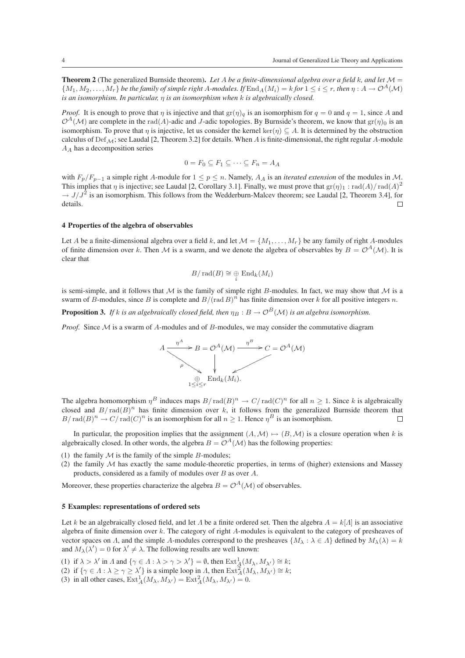**Theorem 2** (The generalized Burnside theorem). Let A be a finite-dimensional algebra over a field k, and let  $M =$  $\{M_1, M_2, \ldots, M_r\}$  *be the family of simple right* A-modules. If  $\text{End}_A(M_i) = k$  for  $1 \le i \le r$ , then  $\eta : A \to \mathcal{O}^A(\mathcal{M})$ *is an isomorphism. In particular,* η *is an isomorphism when* k *is algebraically closed.*

*Proof.* It is enough to prove that  $\eta$  is injective and that  $gr(\eta)q$  is an isomorphism for  $q = 0$  and  $q = 1$ , since A and  $\mathcal{O}^A(\mathcal{M})$  are complete in the rad(A)-adic and J-adic topologies. By Burnside's theorem, we know that  $gr(\eta)_0$  is an isomorphism. To prove that  $\eta$  is injective, let us consider the kernel ker( $\eta$ )  $\subseteq A$ . It is determined by the obstruction calculus of Def<sub>M</sub>; see Laudal [\[2,](#page-4-1) Theorem 3.2] for details. When A is finite-dimensional, the right regular A-module  $A_A$  has a decomposition series

$$
0 = F_0 \subseteq F_1 \subseteq \cdots \subseteq F_n = A_A
$$

with  $F_p/F_{p-1}$  a simple right A-module for  $1 \le p \le n$ . Namely,  $A_A$  is an *iterated extension* of the modules in M. This implies that  $\eta$  is injective; see Laudal [\[2,](#page-4-1) Corollary 3.1]. Finally, we must prove that  $gr(\eta)_1 : rad(A)/ rad(A)^2$ <br> $\rightarrow L/L^2$  is an isomorphism. This follows from the Wedderburn Maleoy theorem: see Laudal [2, Theorem 3.4], for  $\rightarrow J/J^2$  is an isomorphism. This follows from the Wedderburn-Malcev theorem; see Laudal [\[2,](#page-4-1) Theorem 3.4], for details. details.

#### **4 Properties of the algebra of observables**

Let A be a finite-dimensional algebra over a field k, and let  $\mathcal{M} = \{M_1, \ldots, M_r\}$  be any family of right A-modules of finite dimension over k. Then M is a swarm, and we denote the algebra of observables by  $B = \mathcal{O}^{A}(\mathcal{M})$ . It is clear that

$$
B/\operatorname{rad}(B)\cong \mathop{\oplus}\limits_i\, \operatorname{End}\nolimits_k(M_i)
$$

is semi-simple, and it follows that  $M$  is the family of simple right B-modules. In fact, we may show that  $M$  is a swarm of B-modules, since B is complete and  $B/(\text{rad } B)^n$  has finite dimension over k for all positive integers n.

**Proposition 3.** *If* k *is an algebraically closed field, then*  $\eta_B : B \to \mathcal{O}^B(\mathcal{M})$  *is an algebra isomorphism.* 

*Proof.* Since M is a swarm of A-modules and of B-modules, we may consider the commutative diagram

$$
A \xrightarrow{\eta^A} B = O^A(\mathcal{M}) \xrightarrow{\eta^B} C = O^A(\mathcal{M})
$$
\n
$$
\underset{1 \le i \le r}{\oplus} \text{End}_k(M_i).
$$

The algebra homomorphism  $\eta^B$  induces maps  $B/\text{rad}(B)^n \to C/\text{rad}(C)^n$  for all  $n \ge 1$ . Since k is algebraically closed and  $B/\text{rad}(B)^n$  has finite dimension over k it follows from the generalized Burnside theorem that closed and  $B/\text{rad}(B)^n$  has finite dimension over k, it follows from the generalized Burnside theorem that  $B/\text{rad}(B)^n \to C/\text{rad}(C)^n$  is an isomorphism for all  $n \ge 1$ . Hence  $n^B$  is an isomorphism  $B/\text{rad}(B)^n \to C/\text{rad}(C)^n$  is an isomorphism for all  $n \geq 1$ . Hence  $\eta^B$  is an isomorphism.

In particular, the proposition implies that the assignment  $(A, \mathcal{M}) \mapsto (B, \mathcal{M})$  is a closure operation when k is<br>specially closed. In other words, the algebra  $B = \mathcal{O}^{A}(M)$  has the following properties. algebraically closed. In other words, the algebra  $B = \mathcal{O}^{A}(\mathcal{M})$  has the following properties:

- (1) the family  $M$  is the family of the simple  $B$ -modules;
- (2) the family  $M$  has exactly the same module-theoretic properties, in terms of (higher) extensions and Massey products, considered as a family of modules over B as over A.

Moreover, these properties characterize the algebra  $B = \mathcal{O}^{A}(\mathcal{M})$  of observables.

#### **5 Examples: representations of ordered sets**

Let k be an algebraically closed field, and let  $\Lambda$  be a finite ordered set. Then the algebra  $A = k[\Lambda]$  is an associative algebra of finite dimension over  $k$ . The category of right  $A$ -modules is equivalent to the category of presheaves of vector spaces on Λ, and the simple A-modules correspond to the presheaves  $\{M_\lambda : \lambda \in \Lambda\}$  defined by  $M_\lambda(\lambda) = k$ and  $M_{\lambda}(\lambda') = 0$  for  $\lambda' \neq \lambda$ . The following results are well known:

(1) if  $\lambda > \lambda'$  in  $\Lambda$  and  $\{\gamma \in \Lambda : \lambda > \gamma > \lambda'\} = \emptyset$ , then  $\operatorname{Ext}^1_{\mathcal{A}}(M_\lambda, M_{\lambda'}) \cong k;$ <br>(2) if  $\{\gamma \in \Lambda : \lambda > \gamma > \lambda'\}$  is a simple loop in  $\Lambda$ , then  $\operatorname{Ext}^2(M_\lambda, M_{\lambda'}) \cong k$ .

- (2) if  $\{\gamma \in \Lambda : \lambda \ge \gamma \ge \lambda'\}$  is a simple loop in  $\Lambda$ , then  $\text{Ext}_{\mathcal{A}}^{\mathcal{I}}(M_{\lambda}, M_{\lambda'}) \cong k$ ;<br>(3) in all other cases,  $\text{Ext}_{\mathcal{A}}^{\mathcal{I}}(M_{\lambda}, M_{\lambda'}) = \text{Ext}_{\mathcal{A}}^{\mathcal{I}}(M_{\lambda}, M_{\lambda'}) = 0$ .
-